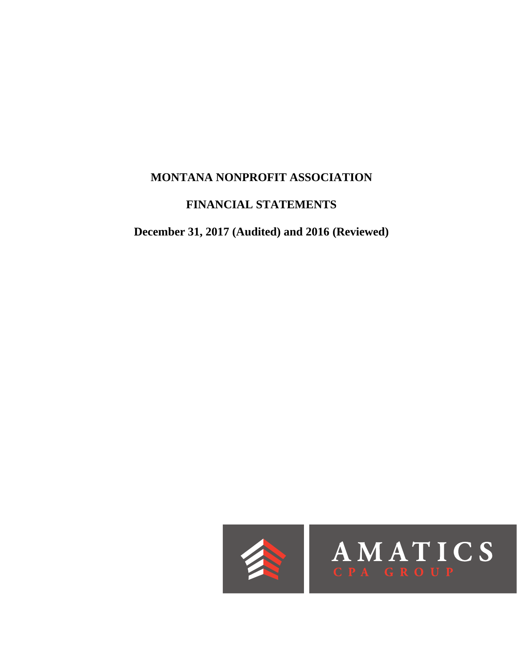# **MONTANA NONPROFIT ASSOCIATION**

# **FINANCIAL STATEMENTS**

**December 31, 2017 (Audited) and 2016 (Reviewed)**



AMATICS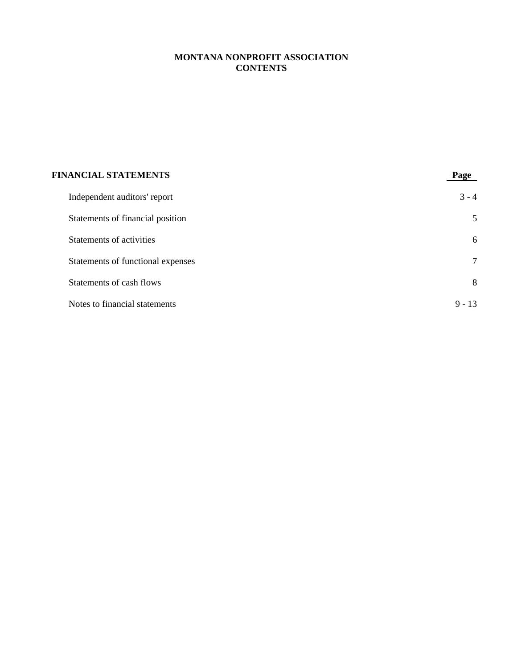## **MONTANA NONPROFIT ASSOCIATION CONTENTS**

| <b>FINANCIAL STATEMENTS</b>       | Page     |
|-----------------------------------|----------|
| Independent auditors' report      | $3 - 4$  |
| Statements of financial position  | 5        |
| Statements of activities          | 6        |
| Statements of functional expenses | 7        |
| Statements of cash flows          | 8        |
| Notes to financial statements     | $9 - 13$ |
|                                   |          |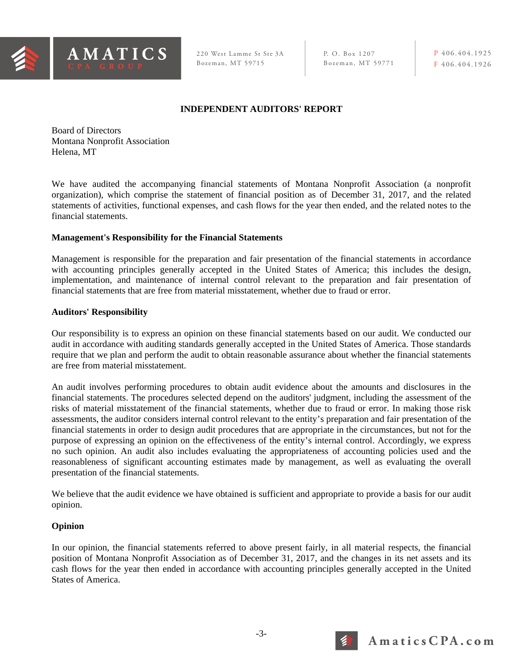

220 West Lamme St Ste 3A Bozeman, MT 59715

P. O. Box 1207 Bozeman, MT 59771

P 406.404.1925 F 406.404.1926

## **INDEPENDENT AUDITORS' REPORT**

Board of Directors Montana Nonprofit Association Helena, MT

We have audited the accompanying financial statements of Montana Nonprofit Association (a nonprofit organization), which comprise the statement of financial position as of December 31, 2017, and the related statements of activities, functional expenses, and cash flows for the year then ended, and the related notes to the financial statements.

## **Management's Responsibility for the Financial Statements**

Management is responsible for the preparation and fair presentation of the financial statements in accordance with accounting principles generally accepted in the United States of America; this includes the design, implementation, and maintenance of internal control relevant to the preparation and fair presentation of financial statements that are free from material misstatement, whether due to fraud or error.

## **Auditors' Responsibility**

Our responsibility is to express an opinion on these financial statements based on our audit. We conducted our audit in accordance with auditing standards generally accepted in the United States of America. Those standards require that we plan and perform the audit to obtain reasonable assurance about whether the financial statements are free from material misstatement.

An audit involves performing procedures to obtain audit evidence about the amounts and disclosures in the financial statements. The procedures selected depend on the auditors' judgment, including the assessment of the risks of material misstatement of the financial statements, whether due to fraud or error. In making those risk assessments, the auditor considers internal control relevant to the entity's preparation and fair presentation of the financial statements in order to design audit procedures that are appropriate in the circumstances, but not for the purpose of expressing an opinion on the effectiveness of the entity's internal control. Accordingly, we express no such opinion. An audit also includes evaluating the appropriateness of accounting policies used and the reasonableness of significant accounting estimates made by management, as well as evaluating the overall presentation of the financial statements.

We believe that the audit evidence we have obtained is sufficient and appropriate to provide a basis for our audit opinion.

## **Opinion**

In our opinion, the financial statements referred to above present fairly, in all material respects, the financial position of Montana Nonprofit Association as of December 31, 2017, and the changes in its net assets and its cash flows for the year then ended in accordance with accounting principles generally accepted in the United States of America.

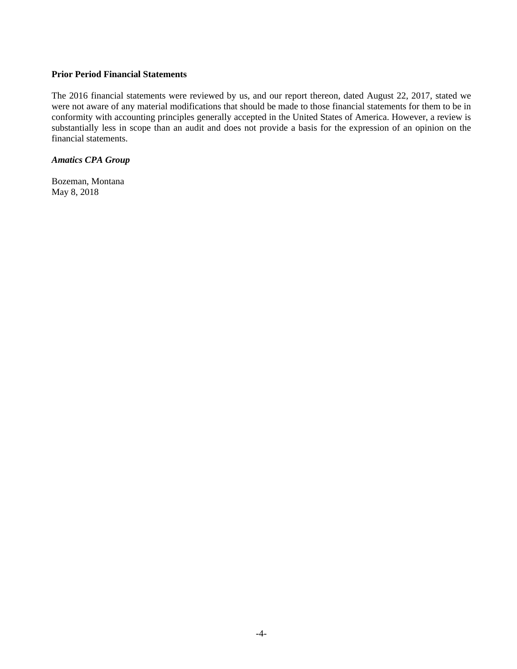## **Prior Period Financial Statements**

The 2016 financial statements were reviewed by us, and our report thereon, dated August 22, 2017, stated we were not aware of any material modifications that should be made to those financial statements for them to be in conformity with accounting principles generally accepted in the United States of America. However, a review is substantially less in scope than an audit and does not provide a basis for the expression of an opinion on the financial statements.

## *Amatics CPA Group*

Bozeman, Montana May 8, 2018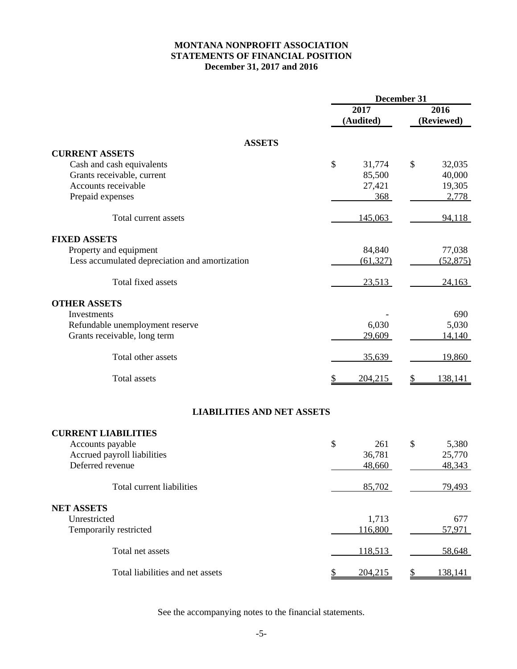## **MONTANA NONPROFIT ASSOCIATION STATEMENTS OF FINANCIAL POSITION December 31, 2017 and 2016**

|                                                |                   | December 31        |
|------------------------------------------------|-------------------|--------------------|
|                                                | 2017<br>(Audited) | 2016<br>(Reviewed) |
| <b>ASSETS</b>                                  |                   |                    |
| <b>CURRENT ASSETS</b>                          |                   |                    |
| Cash and cash equivalents                      | \$<br>31,774      | \$<br>32,035       |
| Grants receivable, current                     | 85,500            | 40,000             |
| Accounts receivable                            | 27,421            | 19,305             |
| Prepaid expenses                               | 368               | 2,778              |
| Total current assets                           | 145,063           | 94,118             |
| <b>FIXED ASSETS</b>                            |                   |                    |
| Property and equipment                         | 84,840            | 77,038             |
| Less accumulated depreciation and amortization | (61, 327)         | (52, 875)          |
| Total fixed assets                             | 23,513            | 24,163             |
| <b>OTHER ASSETS</b>                            |                   |                    |
| Investments                                    |                   | 690                |
| Refundable unemployment reserve                | 6,030             | 5,030              |
| Grants receivable, long term                   | 29,609            | 14,140             |
| Total other assets                             | 35,639            | 19,860             |
| Total assets                                   | 204,215<br>\$     | 138,141<br>\$      |
| <b>LIABILITIES AND NET ASSETS</b>              |                   |                    |
| <b>CURRENT LIABILITIES</b>                     |                   |                    |
| Accounts payable                               | \$<br>261         | \$<br>5,380        |
| Accrued payroll liabilities                    | 36,781            | 25,770             |
| Deferred revenue                               | 48,660            | 48,343             |
| Total current liabilities                      | 85,702            | 79,493             |
| <b>NET ASSETS</b>                              |                   |                    |
| Unrestricted                                   | 1,713             | 677                |
| Temporarily restricted                         | 116,800           | 57,971             |
| Total net assets                               | 118,513           | 58,648             |
| Total liabilities and net assets               | \$<br>204,215     | \$<br>138,141      |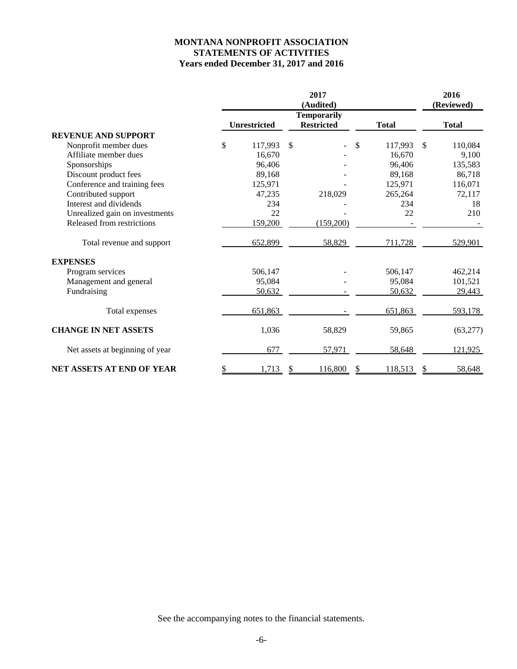## **MONTANA NONPROFIT ASSOCIATION STATEMENTS OF ACTIVITIES Years ended December 31, 2017 and 2016**

|                                  | 2017<br>(Audited) |                                                                                |                    |    |         |     | 2016<br>(Reviewed) |
|----------------------------------|-------------------|--------------------------------------------------------------------------------|--------------------|----|---------|-----|--------------------|
|                                  |                   | <b>Temporarily</b><br><b>Restricted</b><br><b>Unrestricted</b><br><b>Total</b> |                    |    |         |     | <b>Total</b>       |
| <b>REVENUE AND SUPPORT</b>       |                   |                                                                                |                    |    |         |     |                    |
| Nonprofit member dues            | \$                | 117,993                                                                        | $\mathbb{S}$<br>÷. | \$ | 117,993 | \$. | 110,084            |
| Affiliate member dues            |                   | 16,670                                                                         |                    |    | 16,670  |     | 9,100              |
| Sponsorships                     |                   | 96,406                                                                         |                    |    | 96,406  |     | 135,583            |
| Discount product fees            |                   | 89,168                                                                         |                    |    | 89,168  |     | 86,718             |
| Conference and training fees     |                   | 125,971                                                                        |                    |    | 125,971 |     | 116,071            |
| Contributed support              |                   | 47,235                                                                         | 218,029            |    | 265,264 |     | 72,117             |
| Interest and dividends           |                   | 234                                                                            |                    |    | 234     |     | 18                 |
| Unrealized gain on investments   |                   | 22                                                                             |                    |    | 22      |     | 210                |
| Released from restrictions       |                   | 159,200                                                                        | (159,200)          |    |         |     |                    |
| Total revenue and support        |                   | 652,899                                                                        | 58,829             |    | 711,728 |     | 529,901            |
| <b>EXPENSES</b>                  |                   |                                                                                |                    |    |         |     |                    |
| Program services                 |                   | 506,147                                                                        |                    |    | 506,147 |     | 462,214            |
| Management and general           |                   | 95,084                                                                         |                    |    | 95,084  |     | 101,521            |
| Fundraising                      |                   | 50,632                                                                         |                    |    | 50,632  |     | 29,443             |
| Total expenses                   |                   | 651,863                                                                        |                    |    | 651,863 |     | 593,178            |
| <b>CHANGE IN NET ASSETS</b>      |                   | 1,036                                                                          | 58,829             |    | 59,865  |     | (63,277)           |
| Net assets at beginning of year  |                   | 677                                                                            | 57,971             |    | 58,648  |     | 121,925            |
| <b>NET ASSETS AT END OF YEAR</b> | \$                | 1,713                                                                          | 116,800<br>\$      | \$ | 118,513 | S   | 58,648             |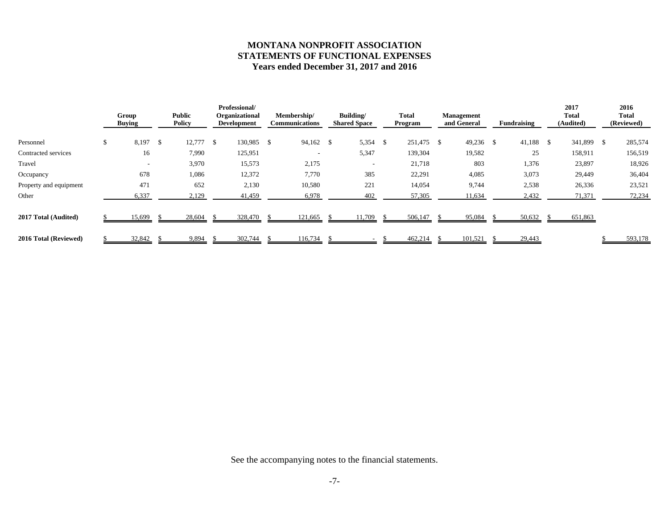## **MONTANA NONPROFIT ASSOCIATION STATEMENTS OF FUNCTIONAL EXPENSES Years ended December 31, 2017 and 2016**

|                        | Group<br><b>Buying</b> | Public<br><b>Policy</b> | Professional/<br>Organizational<br><b>Development</b> | Membership/<br><b>Communications</b> | <b>Building/</b><br><b>Shared Space</b> |      | <b>Total</b><br>Program | <b>Management</b><br>and General |    | <b>Fundraising</b> | 2017<br>Total<br>(Audited) | 2016<br><b>Total</b><br>(Reviewed) |
|------------------------|------------------------|-------------------------|-------------------------------------------------------|--------------------------------------|-----------------------------------------|------|-------------------------|----------------------------------|----|--------------------|----------------------------|------------------------------------|
| Personnel              | \$<br>8,197 \$         | $12,777$ \$             | 130,985 \$                                            | 94,162 \$                            | 5,354                                   | - \$ | 251,475 \$              | 49,236                           | -S | $41,188$ \$        | 341,899 \$                 | 285,574                            |
| Contracted services    | 16                     | 7,990                   | 125,951                                               |                                      | 5,347                                   |      | 139,304                 | 19,582                           |    | 25                 | 158,911                    | 156,519                            |
| Travel                 |                        | 3,970                   | 15,573                                                | 2,175                                |                                         |      | 21,718                  | 803                              |    | 1,376              | 23,897                     | 18,926                             |
| Occupancy              | 678                    | 1,086                   | 12,372                                                | 7,770                                | 385                                     |      | 22,291                  | 4,085                            |    | 3,073              | 29,449                     | 36,404                             |
| Property and equipment | 471                    | 652                     | 2,130                                                 | 10,580                               | 221                                     |      | 14,054                  | 9,744                            |    | 2,538              | 26,336                     | 23,521                             |
| Other                  | 6,337                  | 2,129                   | 41,459                                                | 6,978                                | 402                                     |      | 57,305                  | 11,634                           |    | 2,432              | 71,371                     | 72,234                             |
| 2017 Total (Audited)   | 15,699                 | 28,604                  | 328,470                                               | 121.665                              | 11.709                                  |      | 506,147                 | 95,084                           |    | 50,632             | 651,863                    |                                    |
| 2016 Total (Reviewed)  | 32,842                 | 9,894                   | 302,744                                               | 116,734                              |                                         |      | 462,214                 | 101,521                          |    | 29,443             |                            | 593,178                            |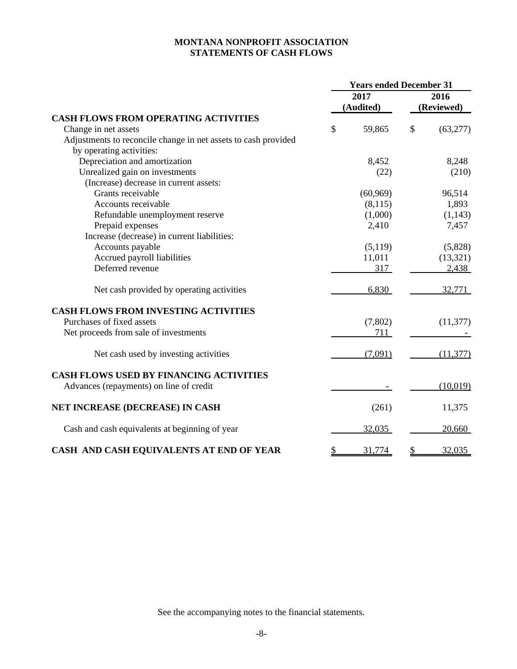## **MONTANA NONPROFIT ASSOCIATION STATEMENTS OF CASH FLOWS**

|                                                                | <b>Years ended December 31</b> |                   |                    |           |  |
|----------------------------------------------------------------|--------------------------------|-------------------|--------------------|-----------|--|
|                                                                |                                | 2017<br>(Audited) | 2016<br>(Reviewed) |           |  |
| <b>CASH FLOWS FROM OPERATING ACTIVITIES</b>                    |                                |                   |                    |           |  |
| Change in net assets                                           | \$                             | 59,865            | \$                 | (63,277)  |  |
| Adjustments to reconcile change in net assets to cash provided |                                |                   |                    |           |  |
| by operating activities:                                       |                                |                   |                    |           |  |
| Depreciation and amortization                                  |                                | 8,452             |                    | 8,248     |  |
| Unrealized gain on investments                                 |                                | (22)              |                    | (210)     |  |
| (Increase) decrease in current assets:                         |                                |                   |                    |           |  |
| Grants receivable                                              |                                | (60, 969)         |                    | 96,514    |  |
| Accounts receivable                                            |                                | (8,115)           |                    | 1,893     |  |
| Refundable unemployment reserve                                |                                | (1,000)           |                    | (1, 143)  |  |
| Prepaid expenses                                               |                                | 2,410             |                    | 7,457     |  |
| Increase (decrease) in current liabilities:                    |                                |                   |                    |           |  |
| Accounts payable                                               |                                | (5,119)           |                    | (5,828)   |  |
| Accrued payroll liabilities                                    |                                | 11,011            |                    | (13, 321) |  |
| Deferred revenue                                               |                                | 317               |                    | 2,438     |  |
| Net cash provided by operating activities                      |                                | 6,830             |                    | 32,771    |  |
| <b>CASH FLOWS FROM INVESTING ACTIVITIES</b>                    |                                |                   |                    |           |  |
| Purchases of fixed assets                                      |                                | (7,802)           |                    | (11, 377) |  |
| Net proceeds from sale of investments                          |                                | 711               |                    |           |  |
| Net cash used by investing activities                          |                                | (7,091)           |                    | (11, 377) |  |
| <b>CASH FLOWS USED BY FINANCING ACTIVITIES</b>                 |                                |                   |                    |           |  |
| Advances (repayments) on line of credit                        |                                |                   |                    | (10,019)  |  |
| NET INCREASE (DECREASE) IN CASH                                |                                | (261)             |                    | 11,375    |  |
| Cash and cash equivalents at beginning of year                 |                                | 32,035            |                    | 20,660    |  |
| CASH AND CASH EQUIVALENTS AT END OF YEAR                       | \$                             | 31,774            | <u>\$</u>          | 32,035    |  |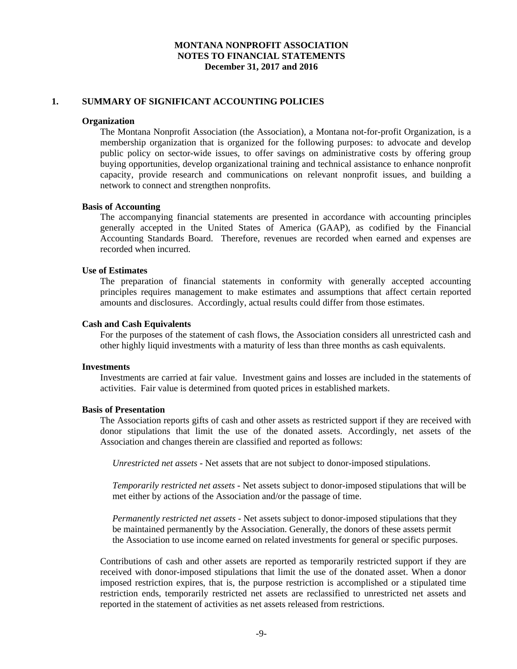#### **1. SUMMARY OF SIGNIFICANT ACCOUNTING POLICIES**

#### **Organization**

The Montana Nonprofit Association (the Association), a Montana not-for-profit Organization, is a membership organization that is organized for the following purposes: to advocate and develop public policy on sector-wide issues, to offer savings on administrative costs by offering group buying opportunities, develop organizational training and technical assistance to enhance nonprofit capacity, provide research and communications on relevant nonprofit issues, and building a network to connect and strengthen nonprofits.

### **Basis of Accounting**

The accompanying financial statements are presented in accordance with accounting principles generally accepted in the United States of America (GAAP), as codified by the Financial Accounting Standards Board. Therefore, revenues are recorded when earned and expenses are recorded when incurred.

## **Use of Estimates**

The preparation of financial statements in conformity with generally accepted accounting principles requires management to make estimates and assumptions that affect certain reported amounts and disclosures. Accordingly, actual results could differ from those estimates.

### **Cash and Cash Equivalents**

For the purposes of the statement of cash flows, the Association considers all unrestricted cash and other highly liquid investments with a maturity of less than three months as cash equivalents.

#### **Investments**

Investments are carried at fair value. Investment gains and losses are included in the statements of activities. Fair value is determined from quoted prices in established markets.

#### **Basis of Presentation**

The Association reports gifts of cash and other assets as restricted support if they are received with donor stipulations that limit the use of the donated assets. Accordingly, net assets of the Association and changes therein are classified and reported as follows:

*Unrestricted net assets* - Net assets that are not subject to donor-imposed stipulations.

*Temporarily restricted net assets* - Net assets subject to donor-imposed stipulations that will be met either by actions of the Association and/or the passage of time.

*Permanently restricted net assets* - Net assets subject to donor-imposed stipulations that they be maintained permanently by the Association. Generally, the donors of these assets permit the Association to use income earned on related investments for general or specific purposes.

Contributions of cash and other assets are reported as temporarily restricted support if they are received with donor-imposed stipulations that limit the use of the donated asset. When a donor imposed restriction expires, that is, the purpose restriction is accomplished or a stipulated time restriction ends, temporarily restricted net assets are reclassified to unrestricted net assets and reported in the statement of activities as net assets released from restrictions.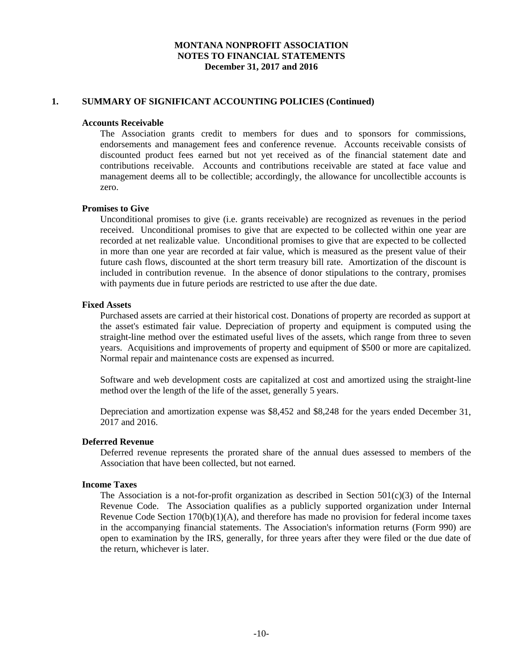#### **1. SUMMARY OF SIGNIFICANT ACCOUNTING POLICIES (Continued)**

#### **Accounts Receivable**

The Association grants credit to members for dues and to sponsors for commissions, endorsements and management fees and conference revenue. Accounts receivable consists of discounted product fees earned but not yet received as of the financial statement date and contributions receivable. Accounts and contributions receivable are stated at face value and management deems all to be collectible; accordingly, the allowance for uncollectible accounts is zero.

#### **Promises to Give**

Unconditional promises to give (i.e. grants receivable) are recognized as revenues in the period received. Unconditional promises to give that are expected to be collected within one year are recorded at net realizable value. Unconditional promises to give that are expected to be collected in more than one year are recorded at fair value, which is measured as the present value of their future cash flows, discounted at the short term treasury bill rate. Amortization of the discount is included in contribution revenue. In the absence of donor stipulations to the contrary, promises with payments due in future periods are restricted to use after the due date.

#### **Fixed Assets**

Purchased assets are carried at their historical cost. Donations of property are recorded as support at the asset's estimated fair value. Depreciation of property and equipment is computed using the straight-line method over the estimated useful lives of the assets, which range from three to seven years. Acquisitions and improvements of property and equipment of \$500 or more are capitalized. Normal repair and maintenance costs are expensed as incurred.

Software and web development costs are capitalized at cost and amortized using the straight-line method over the length of the life of the asset, generally 5 years.

Depreciation and amortization expense was \$8,452 and \$8,248 for the years ended December 31, 2017 and 2016.

#### **Deferred Revenue**

Deferred revenue represents the prorated share of the annual dues assessed to members of the Association that have been collected, but not earned.

#### **Income Taxes**

The Association is a not-for-profit organization as described in Section  $501(c)(3)$  of the Internal Revenue Code. The Association qualifies as a publicly supported organization under Internal Revenue Code Section  $170(b)(1)(A)$ , and therefore has made no provision for federal income taxes in the accompanying financial statements. The Association's information returns (Form 990) are open to examination by the IRS, generally, for three years after they were filed or the due date of the return, whichever is later.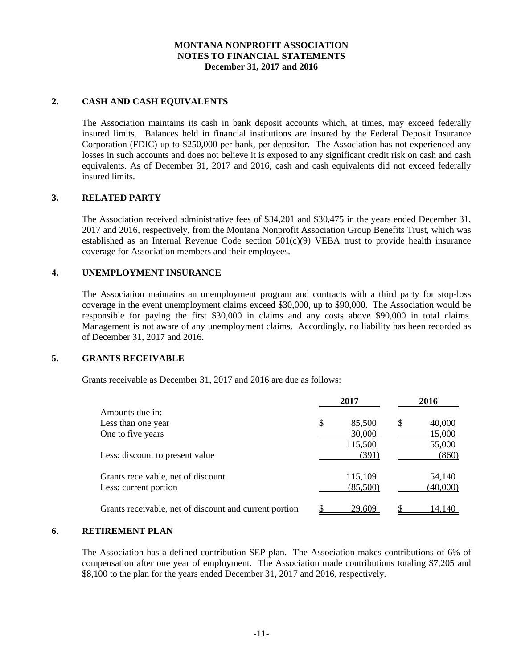## **2. CASH AND CASH EQUIVALENTS**

The Association maintains its cash in bank deposit accounts which, at times, may exceed federally insured limits. Balances held in financial institutions are insured by the Federal Deposit Insurance Corporation (FDIC) up to \$250,000 per bank, per depositor. The Association has not experienced any losses in such accounts and does not believe it is exposed to any significant credit risk on cash and cash equivalents. As of December 31, 2017 and 2016, cash and cash equivalents did not exceed federally insured limits.

## **3. RELATED PARTY**

The Association received administrative fees of \$34,201 and \$30,475 in the years ended December 31, 2017 and 2016, respectively, from the Montana Nonprofit Association Group Benefits Trust, which was established as an Internal Revenue Code section  $501(c)(9)$  VEBA trust to provide health insurance coverage for Association members and their employees.

### **4. UNEMPLOYMENT INSURANCE**

The Association maintains an unemployment program and contracts with a third party for stop-loss coverage in the event unemployment claims exceed \$30,000, up to \$90,000. The Association would be responsible for paying the first \$30,000 in claims and any costs above \$90,000 in total claims. Management is not aware of any unemployment claims. Accordingly, no liability has been recorded as of December 31, 2017 and 2016.

### **5. GRANTS RECEIVABLE**

Grants receivable as December 31, 2017 and 2016 are due as follows:

|                                                        | 2017 |          |    | 2016     |  |
|--------------------------------------------------------|------|----------|----|----------|--|
| Amounts due in:                                        |      |          |    |          |  |
| Less than one year                                     | \$   | 85,500   | \$ | 40,000   |  |
| One to five years                                      |      | 30,000   |    | 15,000   |  |
|                                                        |      | 115,500  |    | 55,000   |  |
| Less: discount to present value                        |      | (391)    |    | (860)    |  |
| Grants receivable, net of discount                     |      | 115,109  |    | 54,140   |  |
| Less: current portion                                  |      | (85,500) |    | (40,000) |  |
| Grants receivable, net of discount and current portion |      | 29,609   |    | 14,140   |  |

#### **6. RETIREMENT PLAN**

The Association has a defined contribution SEP plan. The Association makes contributions of 6% of compensation after one year of employment. The Association made contributions totaling \$7,205 and \$8,100 to the plan for the years ended December 31, 2017 and 2016, respectively.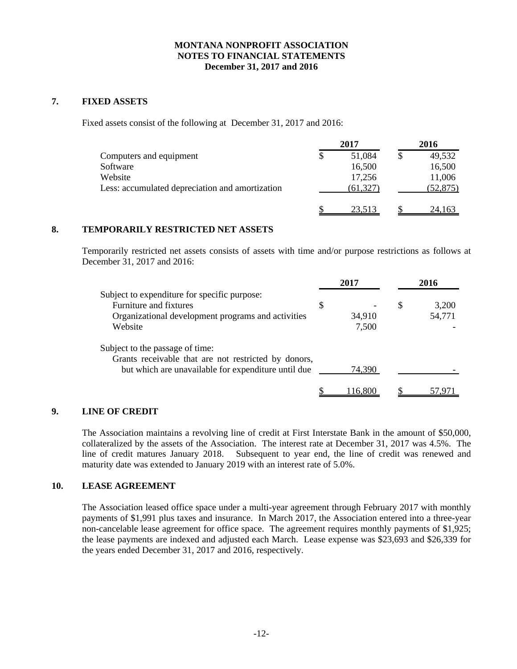## **7. FIXED ASSETS**

Fixed assets consist of the following at December 31, 2017 and 2016:

|                                                 | 2017      | 2016         |  |  |
|-------------------------------------------------|-----------|--------------|--|--|
| Computers and equipment                         | 51,084    | \$<br>49,532 |  |  |
| Software                                        | 16,500    | 16,500       |  |  |
| Website                                         | 17,256    | 11,006       |  |  |
| Less: accumulated depreciation and amortization | (61, 327) | (52, 875)    |  |  |
|                                                 | 23,513    | 24,163       |  |  |

## **8. TEMPORARILY RESTRICTED NET ASSETS**

Temporarily restricted net assets consists of assets with time and/or purpose restrictions as follows at December 31, 2017 and 2016:

|                                                      | 2017    | 2016        |  |
|------------------------------------------------------|---------|-------------|--|
| Subject to expenditure for specific purpose:         |         |             |  |
| Furniture and fixtures                               | \$      | \$<br>3.200 |  |
| Organizational development programs and activities   | 34,910  | 54,771      |  |
| Website                                              | 7.500   |             |  |
| Subject to the passage of time:                      |         |             |  |
| Grants receivable that are not restricted by donors, |         |             |  |
| but which are unavailable for expenditure until due  | 74,390  |             |  |
|                                                      | 116.800 | 2/97        |  |
|                                                      |         |             |  |

## **9. LINE OF CREDIT**

The Association maintains a revolving line of credit at First Interstate Bank in the amount of \$50,000, collateralized by the assets of the Association. The interest rate at December 31, 2017 was 4.5%. The line of credit matures January 2018. Subsequent to year end, the line of credit was renewed and maturity date was extended to January 2019 with an interest rate of 5.0%.

## **10. LEASE AGREEMENT**

The Association leased office space under a multi-year agreement through February 2017 with monthly payments of \$1,991 plus taxes and insurance. In March 2017, the Association entered into a three-year non-cancelable lease agreement for office space. The agreement requires monthly payments of \$1,925; the lease payments are indexed and adjusted each March. Lease expense was \$23,693 and \$26,339 for the years ended December 31, 2017 and 2016, respectively.